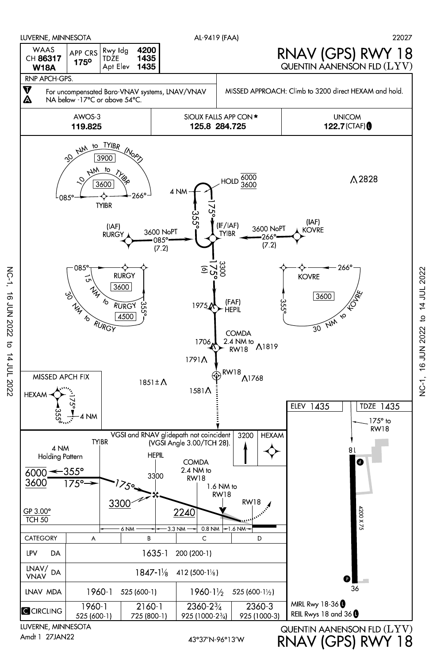

LUVERNE, MINNESOTA Amdt 1 27JAN22

NC-1, 16 JUN 2022 to 14 JUL 2022

NC-1, 16 JUN 2022 to 14 JUL 2022